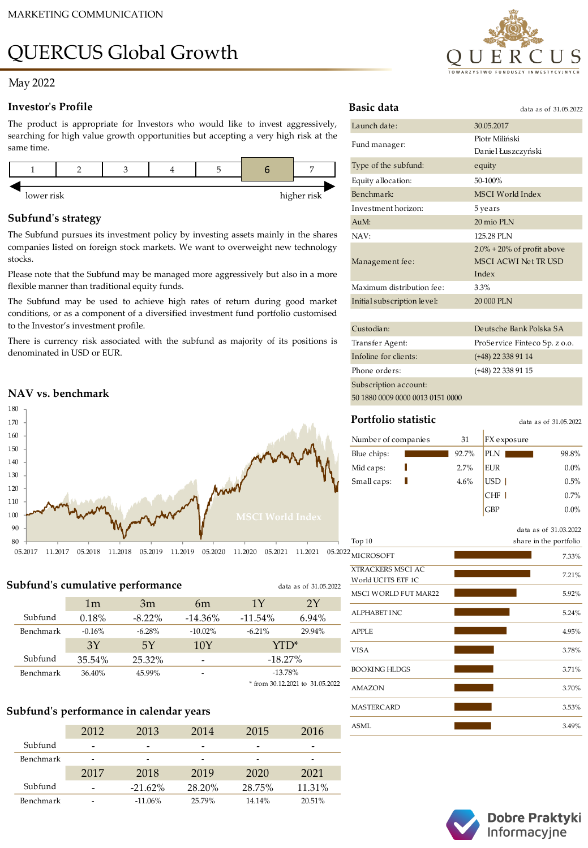# QUERCUS Global Growth

## May 2022

#### **Investor's Profile**

The product is appropriate for Investors who would like to invest aggressively, searching for high value growth opportunities but accepting a very high risk at the same time.



## **Subfund's strategy**

The Subfund pursues its investment policy by investing assets mainly in the shares companies listed on foreign stock markets. We want to overweight new technology stocks.

Please note that the Subfund may be managed more aggressively but also in a more flexible manner than traditional equity funds.

The Subfund may be used to achieve high rates of return during good market conditions, or as a component of a diversified investment fund portfolio customised to the Investor's investment profile.

There is currency risk associated with the subfund as majority of its positions is denominated in USD or EUR.

## **NAV vs. benchmark**



**Subfund's cumulative performance**

|           | 1 <sub>m</sub> | 3m        | 6m         | 1Y         | 2Y     |
|-----------|----------------|-----------|------------|------------|--------|
| Subfund   | 0.18%          | $-8.22\%$ | $-14.36\%$ | $-11.54\%$ | 6.94%  |
| Benchmark | $-0.16%$       | $-6.28%$  | $-10.02\%$ | $-6.21%$   | 29.94% |
|           | 3Y             | 5Y        | 10Y        | YTD*       |        |
| Subfund   | 35.54%         | 25.32%    | -          | $-18.27%$  |        |
| Benchmark | 36.40%         | 45.99%    |            | $-13.78%$  |        |
|           |                |           |            |            |        |

\* from 30.12.2021 to 31.05.2022

data as of 31.05.2022

## **Subfund's performance in calendar years**

|           | 2012 | 2013       | 2014   | 2015   | 2016   |
|-----------|------|------------|--------|--------|--------|
| Subfund   |      |            | ۰      |        |        |
| Benchmark | -    |            | -      |        | -      |
|           | 2017 | 2018       | 2019   | 2020   | 2021   |
| Subfund   |      | $-21.62\%$ | 28.20% | 28.75% | 11.31% |
| Benchmark |      | $-11.06\%$ | 25.79% | 14.14% | 20.51% |



| Basic data                  | data as of 31.05.2022                                                         |
|-----------------------------|-------------------------------------------------------------------------------|
| Launch date:                | 30.05.2017                                                                    |
| Fund manager:               | Piotr Miliński<br>Daniel Łuszczyński                                          |
| Type of the subfund:        | equity                                                                        |
| Equity allocation:          | 50-100%                                                                       |
| Benchmark:                  | MSCI World Index                                                              |
| Investment horizon:         | 5 years                                                                       |
| $AuM$ :                     | 20 mio PLN                                                                    |
| NAV:                        | 125.28 PLN                                                                    |
| Management fee:             | $2.0\% + 20\%$ of profit above<br><b>MSCI ACWI Net TR USD</b><br><b>Index</b> |
| Maximum distribution fee:   | 3.3%                                                                          |
| Initial subscription level: | 20 000 PLN                                                                    |
|                             |                                                                               |
| Custodian:                  | Deutsche Bank Polska SA                                                       |
| Transfer Agent:             | ProService Finteco Sp. z o.o.                                                 |
| Infoline for clients:       | $(+48)$ 22 338 91 14                                                          |
| Phone orders:               | (+48) 22 338 91 15                                                            |
|                             |                                                                               |

Subscription account: 50 1880 0009 0000 0013 0151 0000

# **Portfolio statistic**

data as of 31.05.2022

GBP 0.0%

| Number of companies | 31    | <b>FX</b> exposure |         |
|---------------------|-------|--------------------|---------|
| Blue chips:         | 92.7% | PLN                | 98.8%   |
| Mid caps:           | 2.7%  | <b>EUR</b>         | $0.0\%$ |
| Small caps:         | 4.6%  | USD                | 0.5%    |
|                     |       |                    | 0.7%    |

|                                                | data as of 31.03.2022  |
|------------------------------------------------|------------------------|
| Top $10$                                       | share in the portfolio |
| <b>MICROSOFT</b>                               | 7.33%                  |
| <b>XTRACKERS MSCI AC</b><br>World UCITS ETF 1C | 7.21%                  |
| <b>MSCI WORLD FUT MAR22</b>                    | 5.92%                  |
| <b>ALPHABET INC</b>                            | 5.24%                  |
| <b>APPLE</b>                                   | 4.95%                  |
| <b>VISA</b>                                    | 3.78%                  |
| <b>BOOKING HLDGS</b>                           | 3.71%                  |
| <b>AMAZON</b>                                  | 3.70%                  |
| <b>MASTERCARD</b>                              | 3.53%                  |
| <b>ASML</b>                                    | 3.49%                  |



Dobre Praktyki Informacyjne